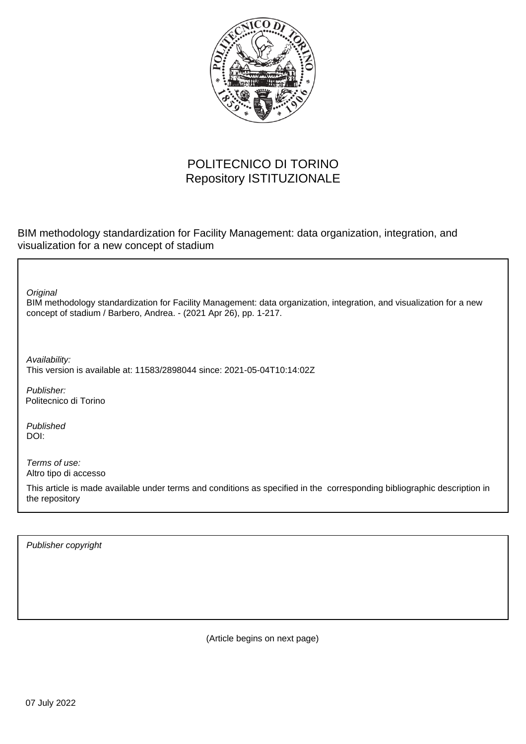

## POLITECNICO DI TORINO Repository ISTITUZIONALE

BIM methodology standardization for Facility Management: data organization, integration, and visualization for a new concept of stadium

**Original** 

BIM methodology standardization for Facility Management: data organization, integration, and visualization for a new concept of stadium / Barbero, Andrea. - (2021 Apr 26), pp. 1-217.

Availability: This version is available at: 11583/2898044 since: 2021-05-04T10:14:02Z

Publisher: Politecnico di Torino

Published DOI:

Terms of use: Altro tipo di accesso

This article is made available under terms and conditions as specified in the corresponding bibliographic description in the repository

Publisher copyright

(Article begins on next page)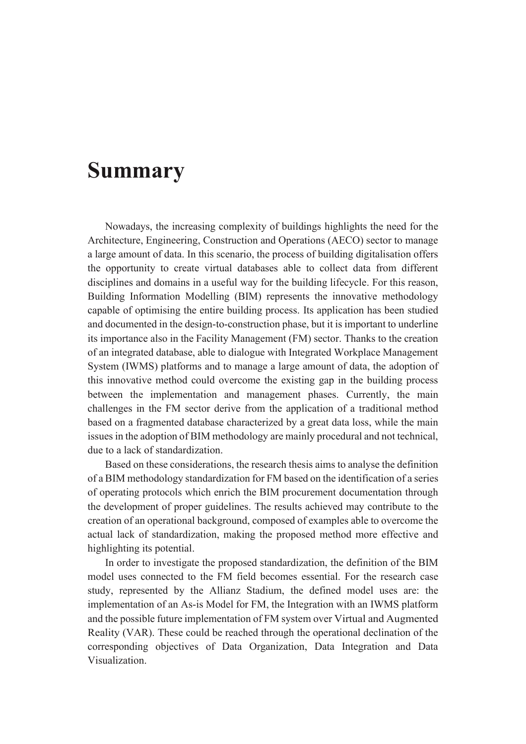## **Summary**

Nowadays, the increasing complexity of buildings highlights the need for the Architecture, Engineering, Construction and Operations (AECO) sector to manage a large amount of data. In this scenario, the process of building digitalisation offers the opportunity to create virtual databases able to collect data from different disciplines and domains in a useful way for the building lifecycle. For this reason, Building Information Modelling (BIM) represents the innovative methodology capable of optimising the entire building process. Its application has been studied and documented in the design-to-construction phase, but it is important to underline its importance also in the Facility Management (FM) sector. Thanks to the creation of an integrated database, able to dialogue with Integrated Workplace Management System (IWMS) platforms and to manage a large amount of data, the adoption of this innovative method could overcome the existing gap in the building process between the implementation and management phases. Currently, the main challenges in the FM sector derive from the application of a traditional method based on a fragmented database characterized by a great data loss, while the main issues in the adoption of BIM methodology are mainly procedural and not technical, due to a lack of standardization.

Based on these considerations, the research thesis aims to analyse the definition of a BIM methodology standardization for FM based on the identification of a series of operating protocols which enrich the BIM procurement documentation through the development of proper guidelines. The results achieved may contribute to the creation of an operational background, composed of examples able to overcome the actual lack of standardization, making the proposed method more effective and highlighting its potential.

In order to investigate the proposed standardization, the definition of the BIM model uses connected to the FM field becomes essential. For the research case study, represented by the Allianz Stadium, the defined model uses are: the implementation of an As-is Model for FM, the Integration with an IWMS platform and the possible future implementation of FM system over Virtual and Augmented Reality (VAR). These could be reached through the operational declination of the corresponding objectives of Data Organization, Data Integration and Data Visualization.